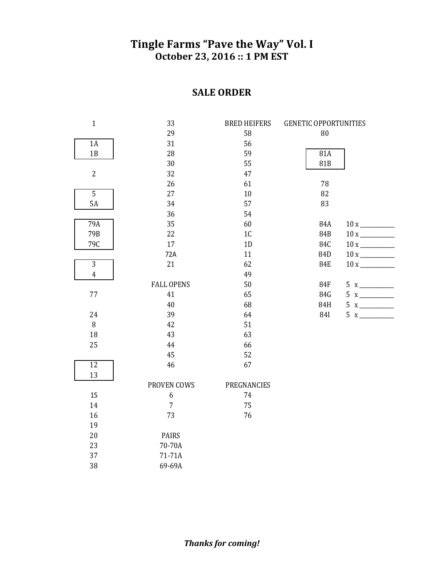## Tingle Farms "Pave the Way" Vol. I **October 23, 2016 :: 1 PM EST**

## **SALE ORDER**